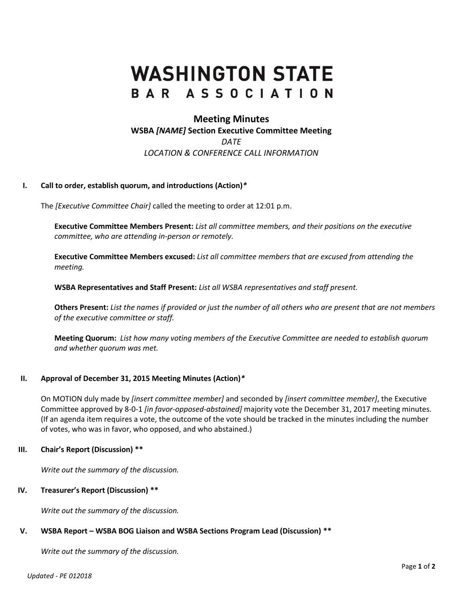# **WASHINGTON STATE** BAR ASSOCIATION

# **Meeting Minutes WSBA** *[NAME]* **Section Executive Committee Meeting** *DATE LOCATION & CONFERENCE CALL INFORMATION*

## **I. Call to order, establish quorum, and introductions (Action)***\**

The *[Executive Committee Chair]* called the meeting to order at 12:01 p.m.

**Executive Committee Members Present:** *List all committee members, and their positions on the executive committee, who are attending in-person or remotely.*

**Executive Committee Members excused:** *List all committee members that are excused from attending the meeting.*

**WSBA Representatives and Staff Present:** *List all WSBA representatives and staff present.*

**Others Present:** *List the names if provided or just the number of all others who are present that are not members of the executive committee or staff.*

**Meeting Quorum:** *List how many voting members of the Executive Committee are needed to establish quorum and whether quorum was met.*

#### **II. Approval of December 31, 2015 Meeting Minutes (Action)***\**

On MOTION duly made by *[insert committee member]* and seconded by *[insert committee member]*, the Executive Committee approved by 8-0-1 *[in favor-opposed-abstained]* majority vote the December 31, 2017 meeting minutes. (If an agenda item requires a vote, the outcome of the vote should be tracked in the minutes including the number of votes, who was in favor, who opposed, and who abstained.)

#### **III. Chair's Report (Discussion) \*\***

*Write out the summary of the discussion.*

#### **IV. Treasurer's Report (Discussion) \*\***

*Write out the summary of the discussion.*

## **V. WSBA Report – WSBA BOG Liaison and WSBA Sections Program Lead (Discussion) \*\***

*Write out the summary of the discussion.*